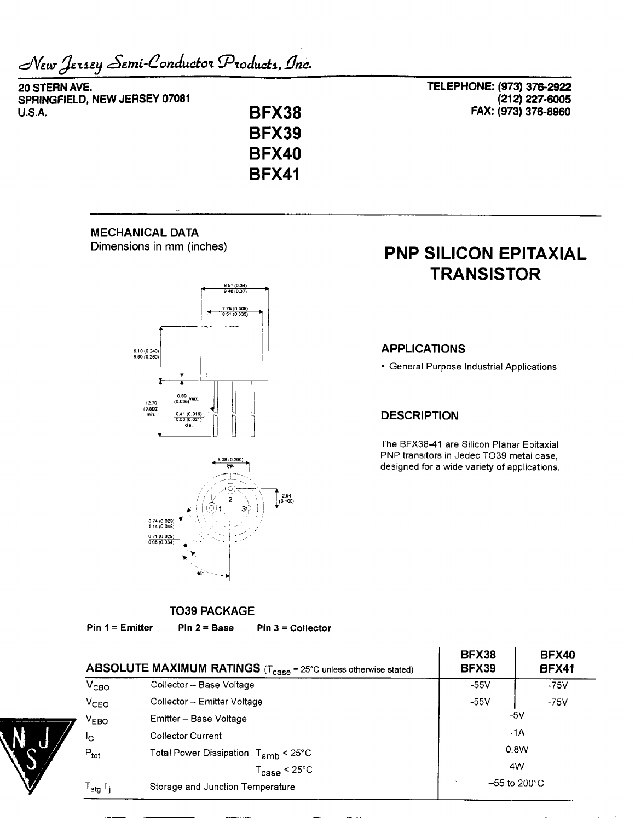New Jersey Semi-Conductor Products, Inc.

20 STERN AVE. SPRINGFIELD, NEW JERSEY 07081 **U.S.A.** 

**BFX38 BFX39 BFX40 BFX41** 

TELEPHONE: (973) 376-2922 (212) 227-6005 FAX: (973) 376-8960

## **MECHANICAL DATA**

Dimensions in mm (inches)





## **PNP SILICON EPITAXIAL TRANSISTOR**

#### **APPLICATIONS**

• General Purpose Industrial Applications

#### **DESCRIPTION**

The BFX38-41 are Silicon Planar Epitaxial PNP transitors in Jedec TO39 metal case, designed for a wide variety of applications.

### **TO39 PACKAGE**

 $Pin 1 = Emitter$ 

 $Pin 2 = Base$  $Pin 3 = Collectron$ 

|                                        | ABSOLUTE MAXIMUM RATINGS (T <sub>case</sub> = 25°C unless otherwise stated) | <b>BFX38</b><br><b>BFX39</b> | <b>BFX40</b><br><b>BFX41</b> |  |
|----------------------------------------|-----------------------------------------------------------------------------|------------------------------|------------------------------|--|
| $V_{CBO}$                              | Collector - Base Voltage                                                    | $-55V$                       | $-75V$                       |  |
| V <sub>CEO</sub>                       | Collector - Emitter Voltage                                                 | $-55V$                       | $-75V$                       |  |
| V <sub>EBO</sub>                       | Emitter - Base Voltage                                                      | -5V                          |                              |  |
| łс                                     | <b>Collector Current</b>                                                    | $-1A$                        |                              |  |
| $P_{\text{tot}}$                       | Total Power Dissipation T <sub>amb</sub> < 25°C                             | 0.8W                         |                              |  |
|                                        | $T_{\textbf{case}}$ < 25 $^{\circ}$ C                                       | 4W                           |                              |  |
| $\mathsf{F}_{\textsf{stg},\mathsf{T}}$ | Storage and Junction Temperature                                            | $-55$ to 200 $^{\circ}$ C    |                              |  |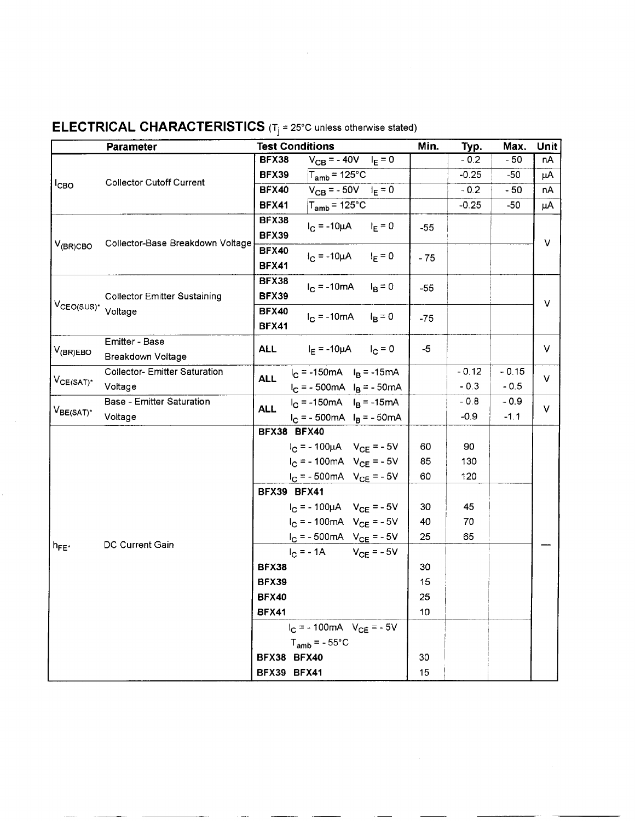|                                | <b>Parameter</b>                     | <b>Test Conditions</b>                     | Min.  | Typ.    | Max.    | <b>Unit</b> |
|--------------------------------|--------------------------------------|--------------------------------------------|-------|---------|---------|-------------|
|                                |                                      | $V_{CB} = -40V$ $I_E = 0$<br>BFX38         |       | $-0.2$  | $-50$   | пA          |
|                                |                                      | <b>BFX39</b><br>$T_{\mathsf{amb}}$ = 125°C |       | $-0.25$ | -50     | μA          |
| $1_{CBO}$                      | <b>Collector Cutoff Current</b>      | $V_{CB} = -50V$ $I_E = 0$<br><b>BFX40</b>  |       | $-0.2$  | $-50$   | nA          |
|                                |                                      | $T_{amb}$ = 125°C<br><b>BFX41</b>          |       | $-0.25$ | -50     | μA          |
|                                |                                      | <b>BFX38</b><br>$I_C = -10\mu A$ $I_E = 0$ | $-55$ |         |         | $\vee$      |
|                                |                                      | <b>BFX39</b>                               |       |         |         |             |
| $V_{(BR)CBO}$                  | Collector-Base Breakdown Voltage     | <b>BFX40</b><br>$I_C = -10\mu A$ $I_E = 0$ | $-75$ |         |         |             |
|                                |                                      | <b>BFX41</b>                               |       |         |         |             |
|                                | <b>Collector Emitter Sustaining</b>  | <b>BFX38</b><br>$I_C = -10mA$ $I_B = 0$    |       |         |         |             |
|                                |                                      | <b>BFX39</b>                               | $-55$ |         |         |             |
| VcEo(SUS)* Voltage             |                                      | <b>BFX40</b><br>$I_C = -10mA$ $I_B = 0$    | $-75$ |         |         | V           |
|                                |                                      | <b>BFX41</b>                               |       |         |         |             |
|                                | Emitter - Base                       | ALL $I_F = -10\mu A$ $I_C = 0$             | -5    |         |         | V           |
| $ V_{({\sf BR})\textsf{EBO}} $ | Breakdown Voltage                    |                                            |       |         |         |             |
|                                | <b>Collector- Emitter Saturation</b> | $I_C = -150mA$ $I_B = -15mA$<br><b>ALL</b> |       | $-0.12$ | $-0.15$ | $\vee$      |
| V <sub>CE(SAT)</sub> *         | Voltage                              | $I_C = -500mA$ $I_B = -50mA$               |       | $-0.3$  | $-0.5$  |             |
|                                | Base - Emitter Saturation            | $I_C = -150mA$ $I_B = -15mA$<br><b>ALL</b> |       | $-0.8$  | $-0.9$  | V           |
| $V_{BE(SAT)^*}$                | Voltage                              | $I_C = -500mA$ $I_B = -50mA$               |       | $-0.9$  | $-1.1$  |             |
|                                |                                      | BFX38 BFX40                                |       |         |         |             |
|                                |                                      | $I_C = -100 \mu A$ $V_{CE} = -5V$          | 60    | 90      |         |             |
|                                |                                      | $I_C = -100mA$ $V_{CE} = -5V$              | 85    | 130     |         |             |
|                                |                                      | $I_C = -500mA$ V <sub>CE</sub> = -5V       | 60    | 120     |         |             |
|                                |                                      | BFX39 BFX41                                |       |         |         |             |
|                                | DC Current Gain                      | $I_C = -100 \mu A$ $V_{CE} = -5V$          | 30    | 45      |         |             |
|                                |                                      | $I_C = -100mA$ $V_{CE} = -5V$              | 40    | 70      |         |             |
|                                |                                      | $I_C = -500mA$ $V_{CE} = -5V$              | 25    | 65      |         |             |
| $h_{FE^*}$                     |                                      | $I_C = -1A$ $V_{CE} = -5V$                 |       |         |         |             |
|                                |                                      | <b>BFX38</b>                               | 30    |         |         |             |
|                                |                                      | <b>BFX39</b>                               | 15    |         |         |             |
|                                |                                      | <b>BFX40</b>                               | 25    |         |         |             |
|                                |                                      | <b>BFX41</b>                               | 10    |         |         |             |
|                                |                                      | $I_C = -100mA$ V <sub>CE</sub> = - 5V      |       |         |         |             |
|                                |                                      | $T_{amb}$ = - 55°C                         |       |         |         |             |
|                                |                                      | BFX38 BFX40                                | 30    |         |         |             |
|                                |                                      | BFX39 BFX41                                | 15    |         |         |             |

#### **ELECTRICAL CHARACTERISTICS** (Tj **=** 25°C unless otherwise stated)